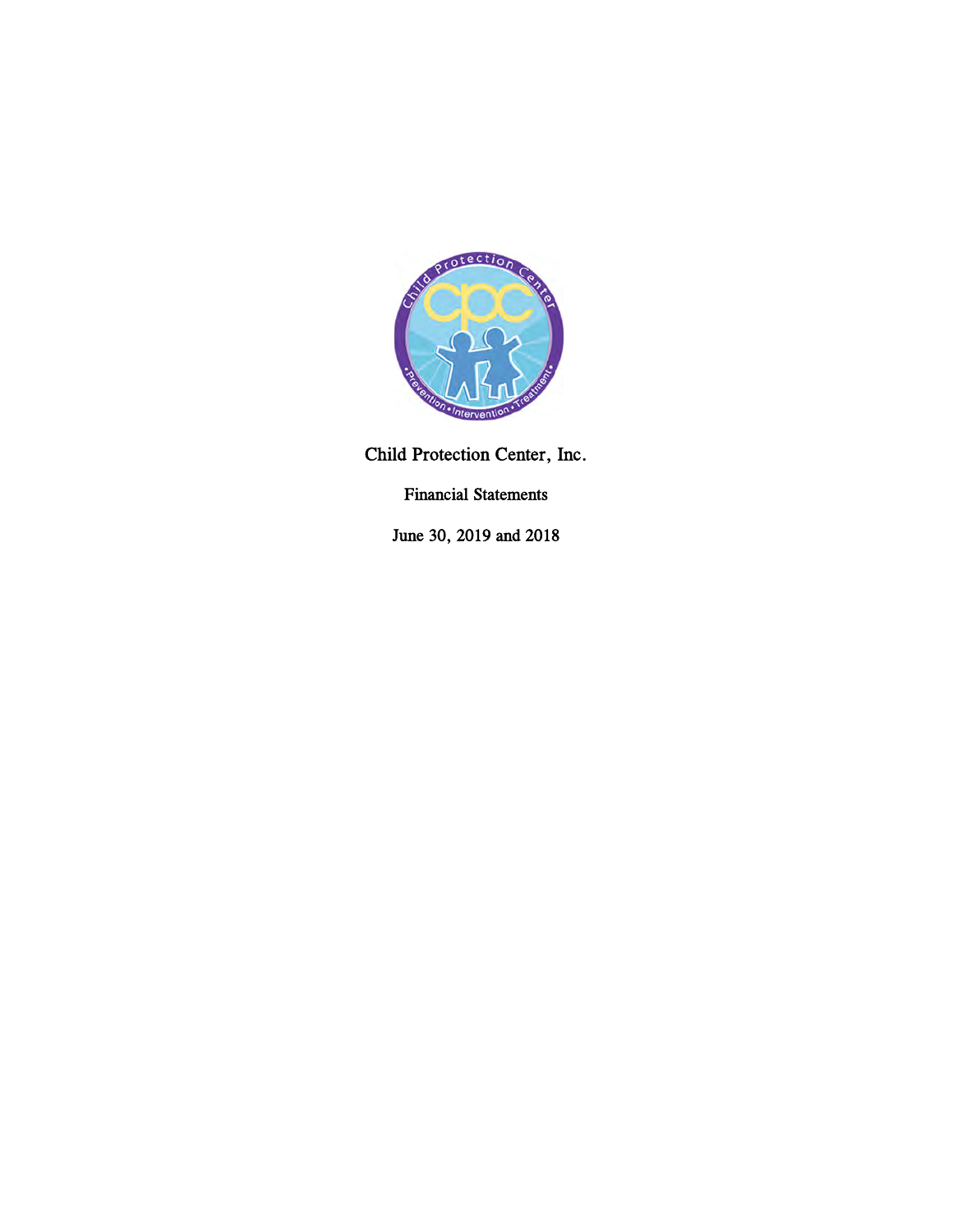

Child Protection Center, Inc.

Financial Statements

June 30, 2019 and 2018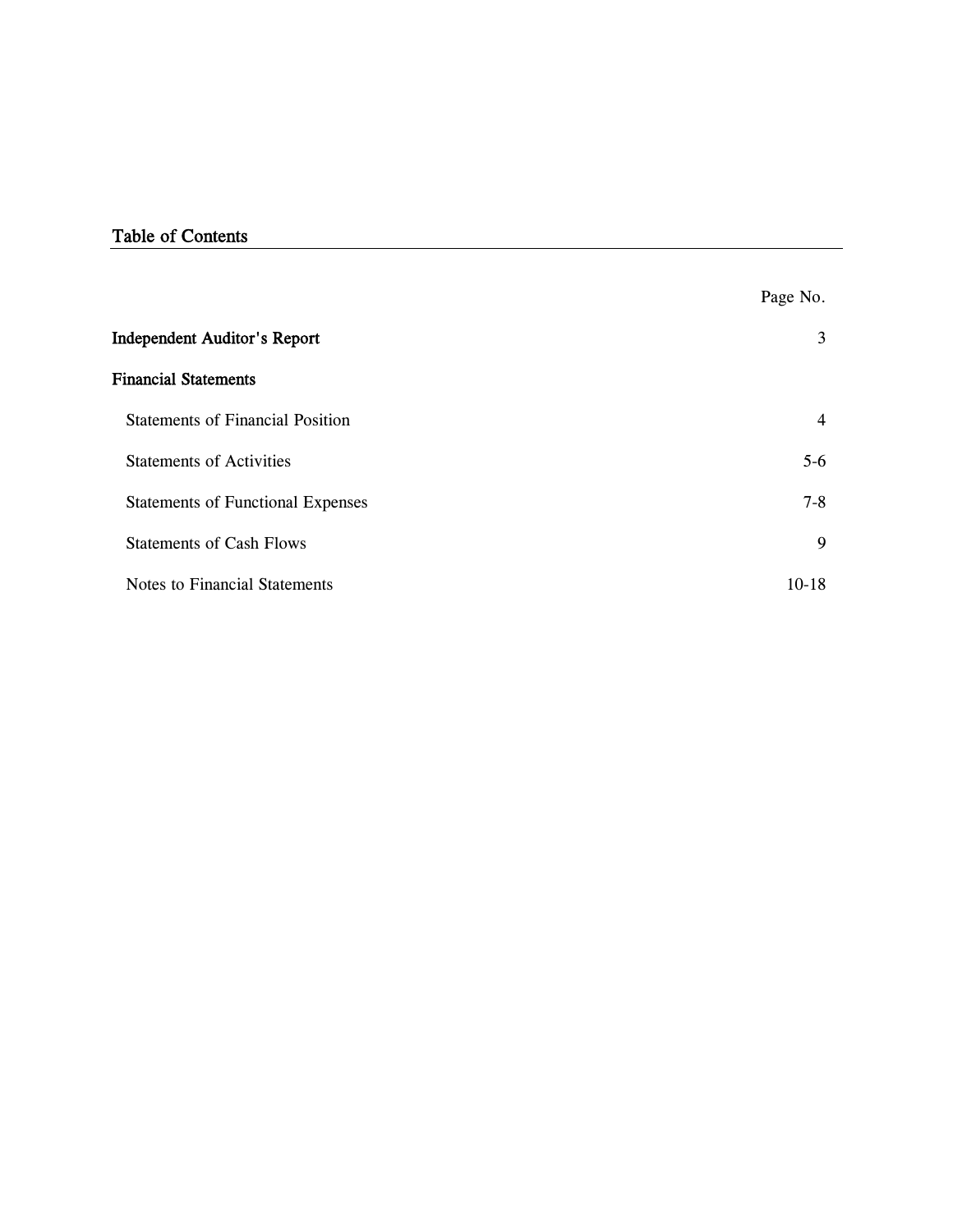# Table of Contents

|                                          | Page No.       |
|------------------------------------------|----------------|
| <b>Independent Auditor's Report</b>      | 3              |
| <b>Financial Statements</b>              |                |
| <b>Statements of Financial Position</b>  | $\overline{4}$ |
| <b>Statements of Activities</b>          | $5-6$          |
| <b>Statements of Functional Expenses</b> | $7 - 8$        |
| <b>Statements of Cash Flows</b>          | 9              |
| <b>Notes to Financial Statements</b>     | $10 - 18$      |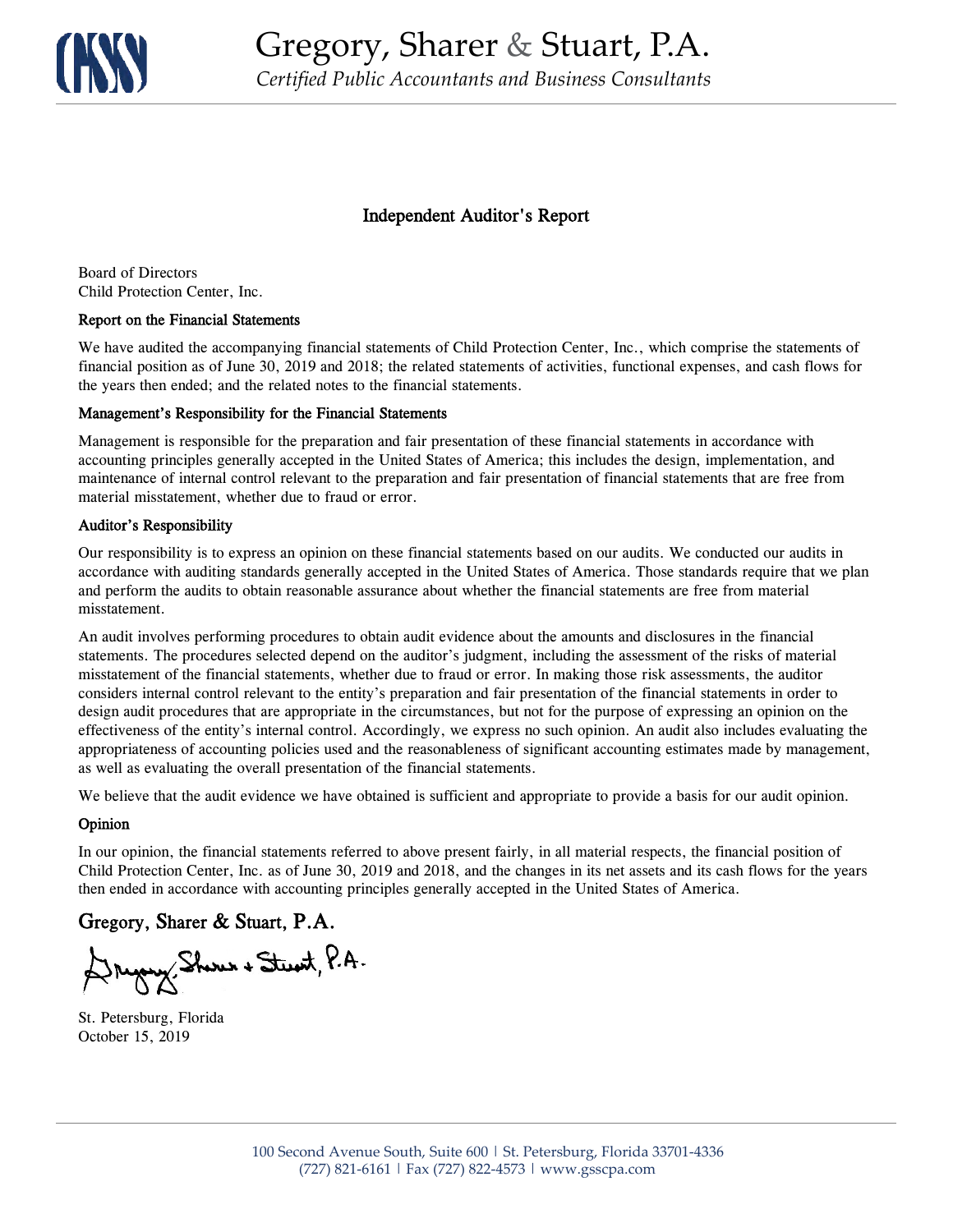

## Independent Auditor's Report

Board of Directors Child Protection Center, Inc.

#### Report on the Financial Statements

We have audited the accompanying financial statements of Child Protection Center, Inc., which comprise the statements of financial position as of June 30, 2019 and 2018; the related statements of activities, functional expenses, and cash flows for the years then ended; and the related notes to the financial statements.

#### Management's Responsibility for the Financial Statements

Management is responsible for the preparation and fair presentation of these financial statements in accordance with accounting principles generally accepted in the United States of America; this includes the design, implementation, and maintenance of internal control relevant to the preparation and fair presentation of financial statements that are free from material misstatement, whether due to fraud or error.

#### Auditor's Responsibility

Our responsibility is to express an opinion on these financial statements based on our audits. We conducted our audits in accordance with auditing standards generally accepted in the United States of America. Those standards require that we plan and perform the audits to obtain reasonable assurance about whether the financial statements are free from material misstatement.

An audit involves performing procedures to obtain audit evidence about the amounts and disclosures in the financial statements. The procedures selected depend on the auditor's judgment, including the assessment of the risks of material misstatement of the financial statements, whether due to fraud or error. In making those risk assessments, the auditor considers internal control relevant to the entity's preparation and fair presentation of the financial statements in order to design audit procedures that are appropriate in the circumstances, but not for the purpose of expressing an opinion on the effectiveness of the entity's internal control. Accordingly, we express no such opinion. An audit also includes evaluating the appropriateness of accounting policies used and the reasonableness of significant accounting estimates made by management, as well as evaluating the overall presentation of the financial statements.

We believe that the audit evidence we have obtained is sufficient and appropriate to provide a basis for our audit opinion.

#### Opinion

In our opinion, the financial statements referred to above present fairly, in all material respects, the financial position of Child Protection Center, Inc. as of June 30, 2019 and 2018, and the changes in its net assets and its cash flows for the years then ended in accordance with accounting principles generally accepted in the United States of America.

## Gregory, Sharer & Stuart, P.A.

Druggy Shows + Stewit, P.A.

St. Petersburg, Florida October 15, 2019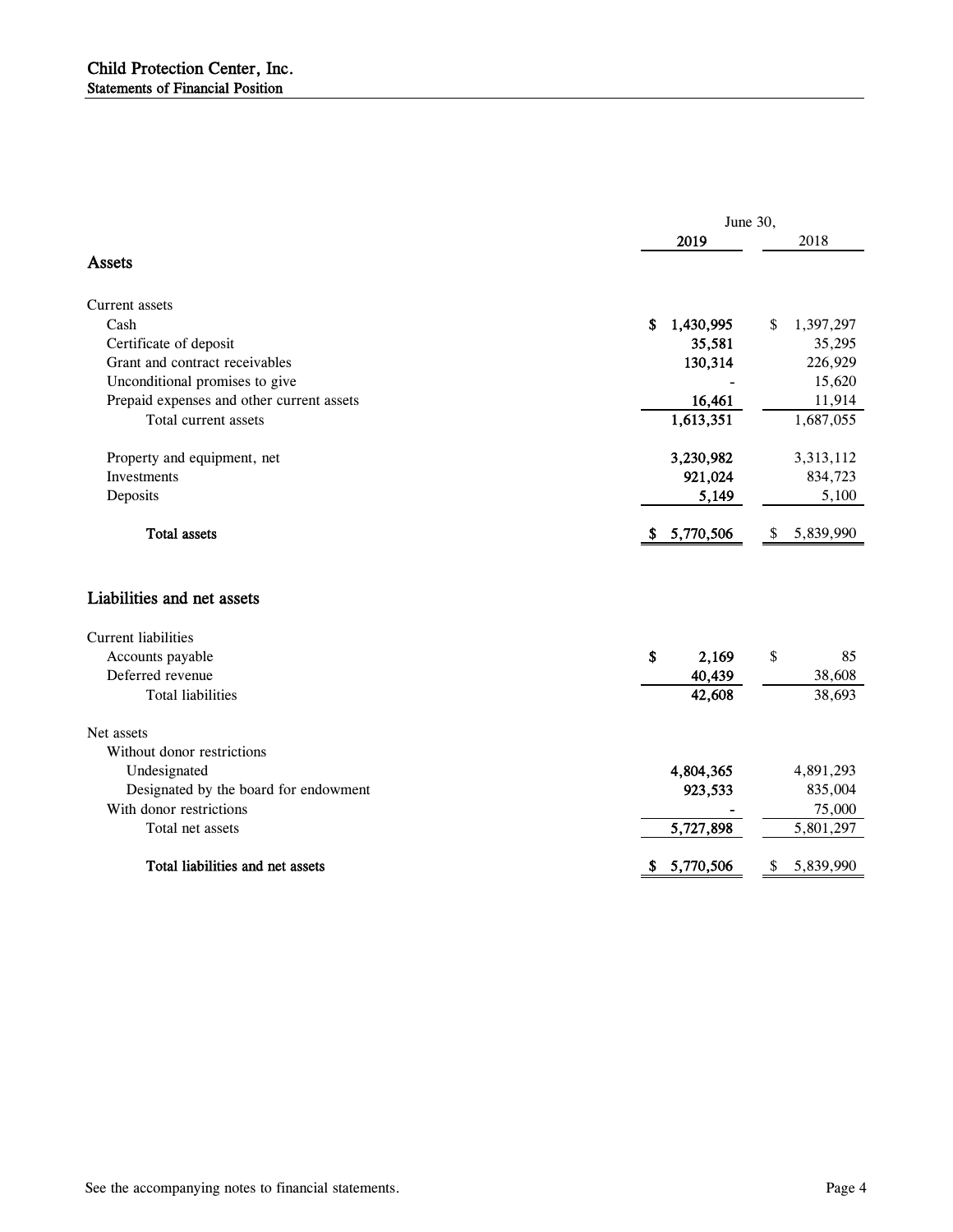| June 30,        |                                          |  |  |
|-----------------|------------------------------------------|--|--|
| 2019            | 2018                                     |  |  |
|                 |                                          |  |  |
|                 |                                          |  |  |
| 1,430,995<br>\$ | 1,397,297<br>\$                          |  |  |
|                 | 35,295                                   |  |  |
|                 | 226,929                                  |  |  |
|                 | 15,620                                   |  |  |
|                 | 11,914                                   |  |  |
|                 | 1,687,055                                |  |  |
| 3,230,982       | 3,313,112                                |  |  |
| 921,024         | 834,723                                  |  |  |
| 5,149           | 5,100                                    |  |  |
| \$5,770,506     | 5,839,990<br>\$                          |  |  |
|                 |                                          |  |  |
|                 |                                          |  |  |
| \$<br>2,169     | \$<br>85                                 |  |  |
| 40,439          | 38,608                                   |  |  |
| 42,608          | 38,693                                   |  |  |
|                 |                                          |  |  |
|                 |                                          |  |  |
| 4,804,365       | 4,891,293                                |  |  |
| 923,533         | 835,004                                  |  |  |
|                 | 75,000                                   |  |  |
| 5,727,898       | 5,801,297                                |  |  |
|                 |                                          |  |  |
|                 | 35,581<br>130,314<br>16,461<br>1,613,351 |  |  |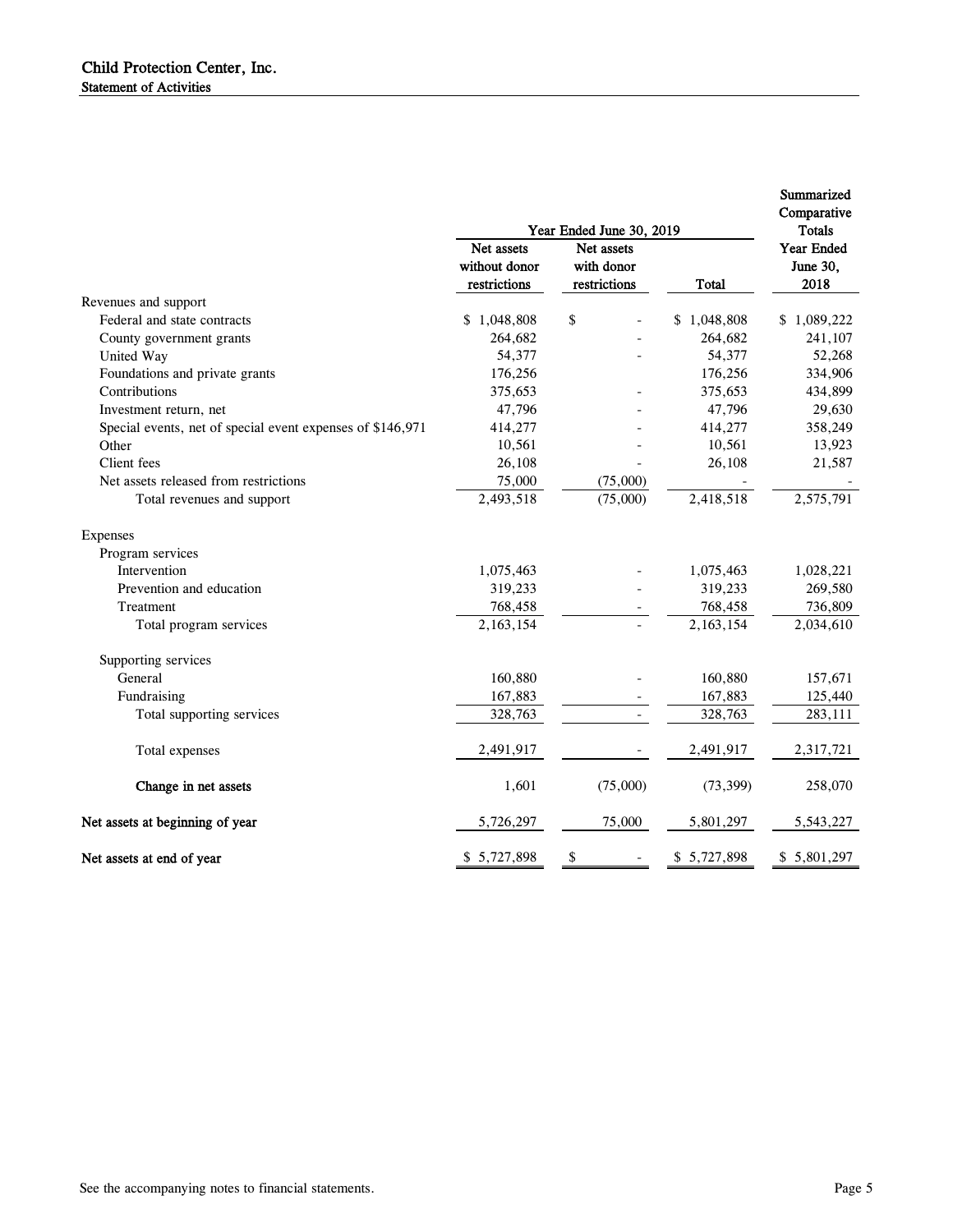|                                                            |                                             |                                                                      |              | Summarized<br>Comparative                       |
|------------------------------------------------------------|---------------------------------------------|----------------------------------------------------------------------|--------------|-------------------------------------------------|
|                                                            | Net assets<br>without donor<br>restrictions | Year Ended June 30, 2019<br>Net assets<br>with donor<br>restrictions | <b>Total</b> | <b>Totals</b><br>Year Ended<br>June 30,<br>2018 |
| Revenues and support                                       |                                             |                                                                      |              |                                                 |
| Federal and state contracts                                | \$1,048,808                                 | \$                                                                   | \$1,048,808  | \$1,089,222                                     |
| County government grants                                   | 264,682                                     |                                                                      | 264,682      | 241,107                                         |
| United Way                                                 | 54,377                                      |                                                                      | 54,377       | 52,268                                          |
| Foundations and private grants                             | 176,256                                     |                                                                      | 176,256      | 334,906                                         |
| Contributions                                              | 375,653                                     |                                                                      | 375,653      | 434,899                                         |
| Investment return, net                                     | 47,796                                      |                                                                      | 47,796       | 29,630                                          |
| Special events, net of special event expenses of \$146,971 | 414,277                                     |                                                                      | 414,277      | 358,249                                         |
| Other                                                      | 10,561                                      |                                                                      | 10,561       | 13,923                                          |
| Client fees                                                | 26,108                                      |                                                                      | 26,108       | 21,587                                          |
| Net assets released from restrictions                      | 75,000                                      | (75,000)                                                             |              |                                                 |
| Total revenues and support                                 | 2,493,518                                   | (75,000)                                                             | 2,418,518    | 2,575,791                                       |
| Expenses                                                   |                                             |                                                                      |              |                                                 |
| Program services                                           |                                             |                                                                      |              |                                                 |
| Intervention                                               | 1,075,463                                   |                                                                      | 1,075,463    | 1,028,221                                       |
| Prevention and education                                   | 319,233                                     |                                                                      | 319,233      | 269,580                                         |
| Treatment                                                  | 768,458                                     |                                                                      | 768,458      | 736,809                                         |
| Total program services                                     | 2,163,154                                   |                                                                      | 2,163,154    | 2,034,610                                       |
| Supporting services                                        |                                             |                                                                      |              |                                                 |
| General                                                    | 160,880                                     |                                                                      | 160,880      | 157,671                                         |
| Fundraising                                                | 167,883                                     |                                                                      | 167,883      | 125,440                                         |
| Total supporting services                                  | 328,763                                     |                                                                      | 328,763      | 283,111                                         |
| Total expenses                                             | 2,491,917                                   |                                                                      | 2,491,917    | 2,317,721                                       |
| Change in net assets                                       | 1,601                                       | (75,000)                                                             | (73, 399)    | 258,070                                         |
| Net assets at beginning of year                            | 5,726,297                                   | 75,000                                                               | 5,801,297    | 5,543,227                                       |
| Net assets at end of year                                  | \$5,727,898                                 | \$                                                                   | \$5,727,898  | \$5,801,297                                     |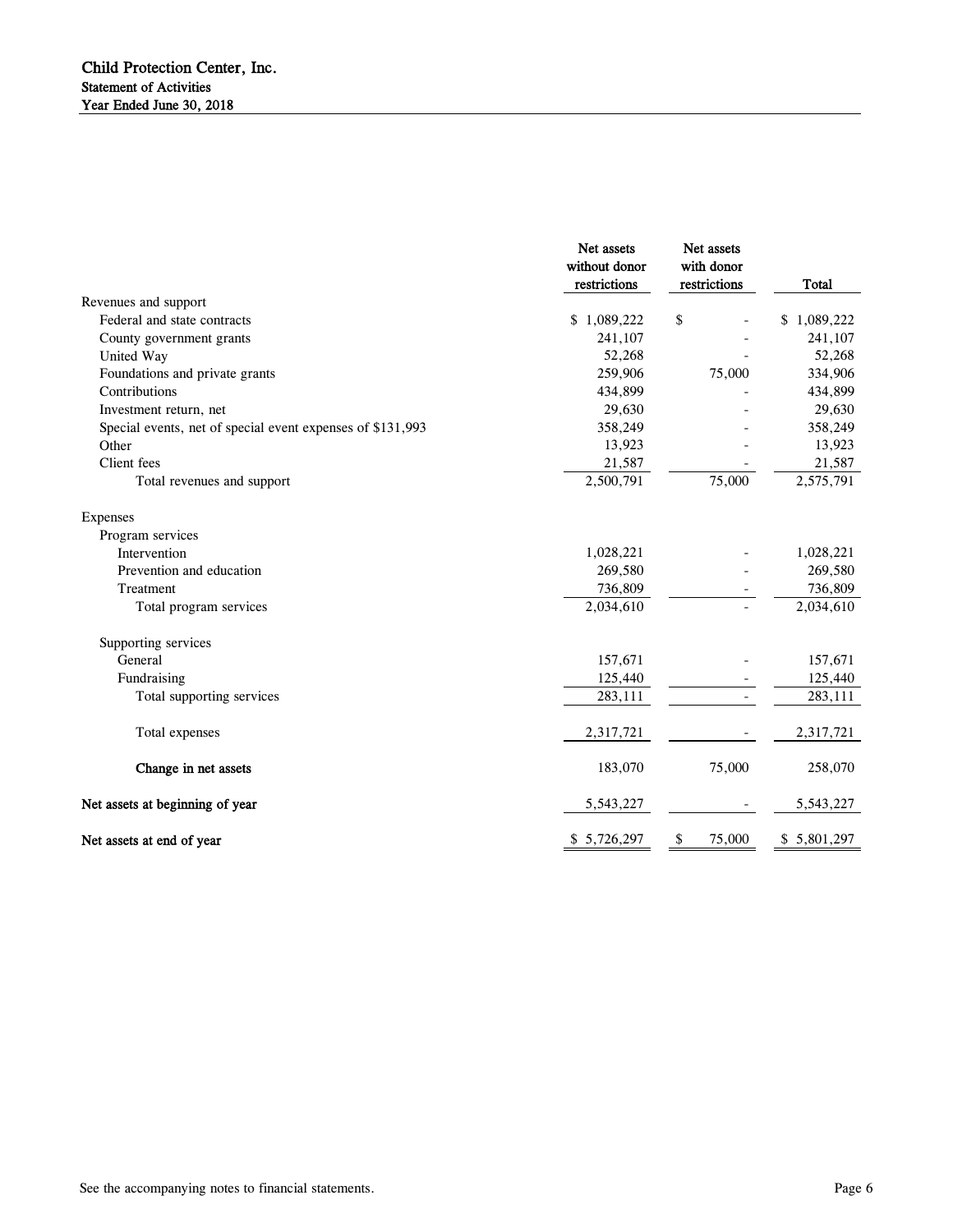|                                                            | Net assets<br>without donor<br>restrictions | Net assets<br>with donor<br>restrictions | <b>Total</b> |
|------------------------------------------------------------|---------------------------------------------|------------------------------------------|--------------|
| Revenues and support                                       |                                             |                                          |              |
| Federal and state contracts                                | \$1,089,222                                 | \$                                       | \$1,089,222  |
| County government grants                                   | 241,107                                     |                                          | 241,107      |
| United Way                                                 | 52,268                                      |                                          | 52,268       |
| Foundations and private grants                             | 259,906                                     | 75,000                                   | 334,906      |
| Contributions                                              | 434,899                                     |                                          | 434,899      |
| Investment return, net                                     | 29,630                                      |                                          | 29,630       |
| Special events, net of special event expenses of \$131,993 | 358,249                                     |                                          | 358,249      |
| Other                                                      | 13,923                                      |                                          | 13,923       |
| Client fees                                                | 21,587                                      |                                          | 21,587       |
| Total revenues and support                                 | 2,500,791                                   | 75,000                                   | 2,575,791    |
| <b>Expenses</b>                                            |                                             |                                          |              |
| Program services                                           |                                             |                                          |              |
| Intervention                                               | 1,028,221                                   |                                          | 1,028,221    |
| Prevention and education                                   | 269,580                                     |                                          | 269,580      |
| Treatment                                                  | 736,809                                     |                                          | 736,809      |
| Total program services                                     | 2,034,610                                   |                                          | 2,034,610    |
| Supporting services                                        |                                             |                                          |              |
| General                                                    | 157,671                                     |                                          | 157,671      |
| Fundraising                                                | 125,440                                     |                                          | 125,440      |
| Total supporting services                                  | 283,111                                     |                                          | 283,111      |
| Total expenses                                             | 2,317,721                                   |                                          | 2,317,721    |
| Change in net assets                                       | 183,070                                     | 75,000                                   | 258,070      |
| Net assets at beginning of year                            | 5,543,227                                   |                                          | 5,543,227    |
| Net assets at end of year                                  | \$ 5,726,297                                | 75,000<br>\$                             | \$5,801,297  |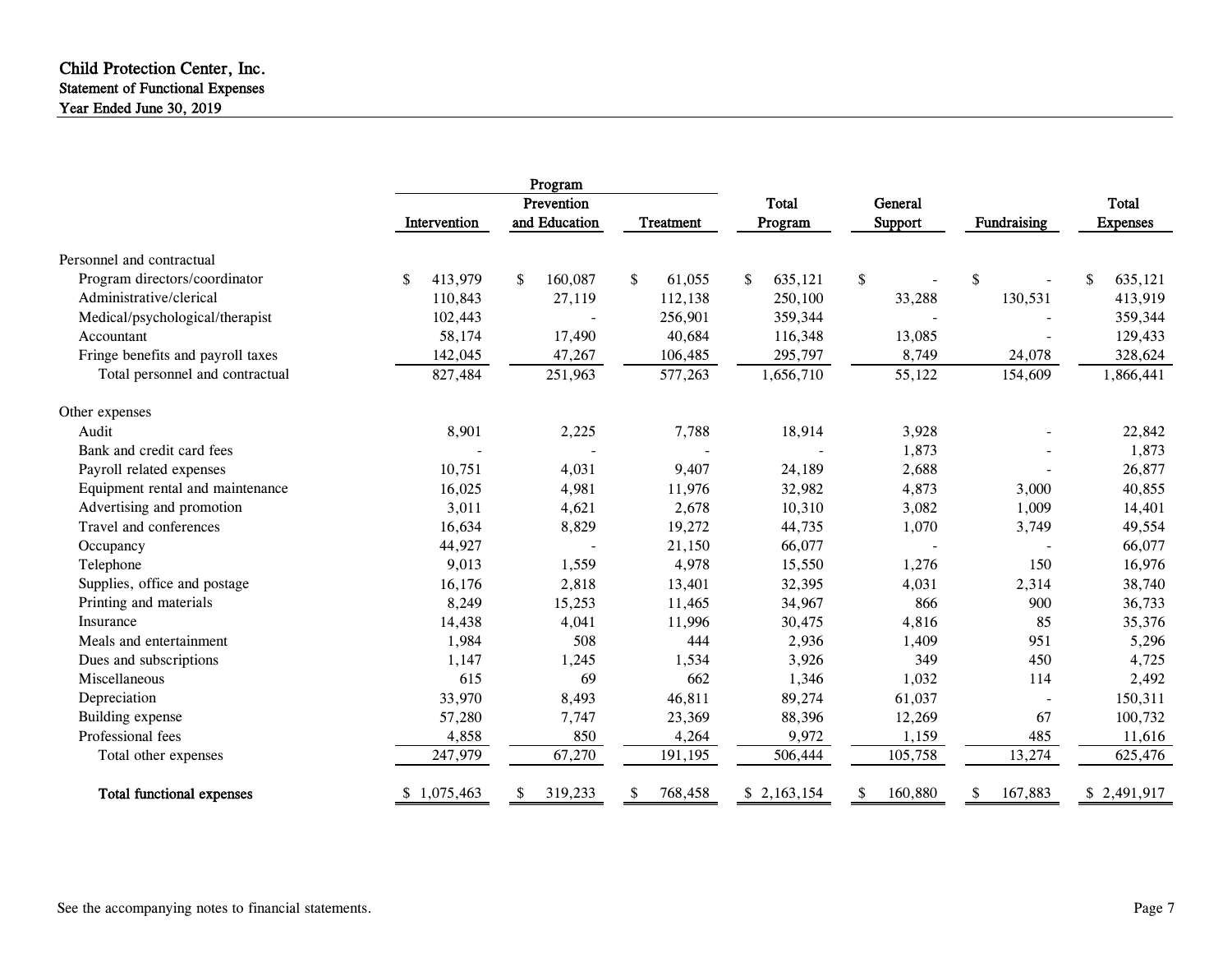#### Child Protection Center, Inc. Statement of Functional Expenses Year Ended June 30, 2019

|                                   | Program         |               |                  |               |                |                          |                 |
|-----------------------------------|-----------------|---------------|------------------|---------------|----------------|--------------------------|-----------------|
|                                   |                 | Prevention    |                  | Total         | <b>General</b> |                          | Total           |
|                                   | Intervention    | and Education | <b>Treatment</b> | Program       | Support        | Fundraising              | <b>Expenses</b> |
| Personnel and contractual         |                 |               |                  |               |                |                          |                 |
| Program directors/coordinator     | \$<br>413,979   | 160,087<br>\$ | \$<br>61,055     | 635,121<br>\$ | \$             | \$                       | \$<br>635,121   |
| Administrative/clerical           | 110,843         | 27,119        | 112,138          | 250,100       | 33,288         | 130,531                  | 413,919         |
| Medical/psychological/therapist   | 102,443         |               | 256,901          | 359,344       |                |                          | 359,344         |
| Accountant                        | 58,174          | 17,490        | 40,684           | 116,348       | 13,085         |                          | 129,433         |
| Fringe benefits and payroll taxes | 142,045         | 47,267        | 106,485          | 295,797       | 8,749          | 24,078                   | 328,624         |
| Total personnel and contractual   | 827,484         | 251,963       | 577,263          | 1,656,710     | 55,122         | 154,609                  | 1,866,441       |
| Other expenses                    |                 |               |                  |               |                |                          |                 |
| Audit                             | 8,901           | 2,225         | 7,788            | 18,914        | 3,928          |                          | 22,842          |
| Bank and credit card fees         |                 |               |                  |               | 1,873          |                          | 1,873           |
| Payroll related expenses          | 10,751          | 4,031         | 9,407            | 24,189        | 2,688          |                          | 26,877          |
| Equipment rental and maintenance  | 16,025          | 4,981         | 11,976           | 32,982        | 4,873          | 3,000                    | 40,855          |
| Advertising and promotion         | 3,011           | 4,621         | 2,678            | 10,310        | 3,082          | 1,009                    | 14,401          |
| Travel and conferences            | 16,634          | 8,829         | 19,272           | 44,735        | 1,070          | 3,749                    | 49,554          |
| Occupancy                         | 44,927          |               | 21,150           | 66,077        |                | $\overline{\phantom{a}}$ | 66,077          |
| Telephone                         | 9,013           | 1,559         | 4,978            | 15,550        | 1,276          | 150                      | 16,976          |
| Supplies, office and postage      | 16,176          | 2,818         | 13,401           | 32,395        | 4,031          | 2,314                    | 38,740          |
| Printing and materials            | 8,249           | 15,253        | 11,465           | 34,967        | 866            | 900                      | 36,733          |
| Insurance                         | 14,438          | 4,041         | 11,996           | 30,475        | 4,816          | 85                       | 35,376          |
| Meals and entertainment           | 1,984           | 508           | 444              | 2,936         | 1,409          | 951                      | 5,296           |
| Dues and subscriptions            | 1,147           | 1,245         | 1,534            | 3,926         | 349            | 450                      | 4,725           |
| Miscellaneous                     | 615             | 69            | 662              | 1,346         | 1,032          | 114                      | 2,492           |
| Depreciation                      | 33,970          | 8,493         | 46,811           | 89,274        | 61,037         | $\overline{\phantom{a}}$ | 150,311         |
| Building expense                  | 57,280          | 7,747         | 23,369           | 88,396        | 12,269         | 67                       | 100,732         |
| Professional fees                 | 4,858           | 850           | 4,264            | 9,972         | 1,159          | 485                      | 11,616          |
| Total other expenses              | 247,979         | 67,270        | 191,195          | 506,444       | 105,758        | 13,274                   | 625,476         |
| <b>Total functional expenses</b>  | 1,075,463<br>S. | 319,233<br>\$ | 768,458<br>S.    | \$2,163,154   | 160,880        | 167,883                  | \$2,491,917     |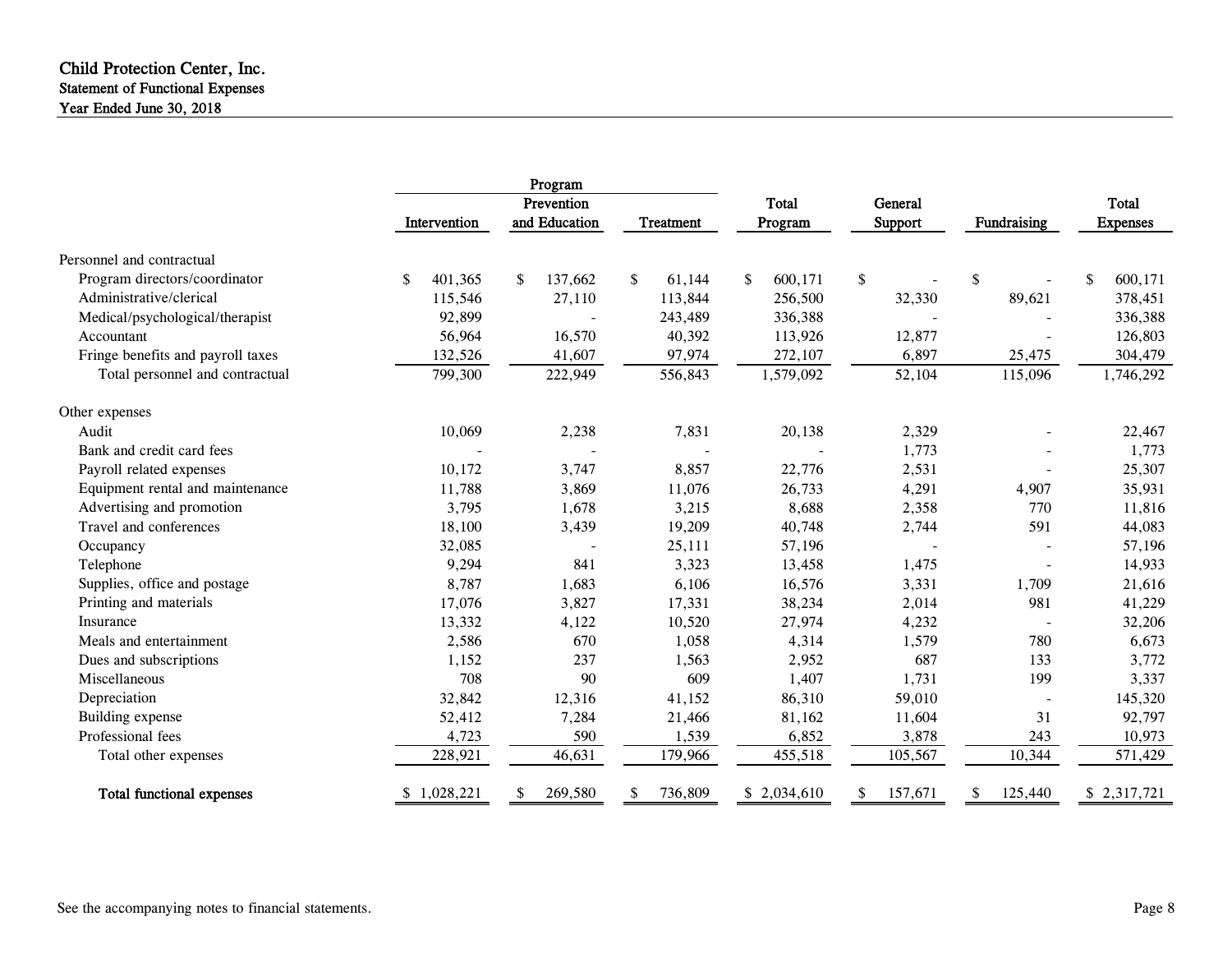### Child Protection Center, Inc. Statement of Functional Expenses Year Ended June 30, 2018

|                                   | Program       |                             |              |                  |                    |                          |                                 |
|-----------------------------------|---------------|-----------------------------|--------------|------------------|--------------------|--------------------------|---------------------------------|
|                                   | Intervention  | Prevention<br>and Education | Treatment    | Total<br>Program | General<br>Support | Fundraising              | <b>Total</b><br><b>Expenses</b> |
| Personnel and contractual         |               |                             |              |                  |                    |                          |                                 |
| Program directors/coordinator     | \$<br>401,365 | 137,662<br>\$               | \$<br>61,144 | 600,171<br>\$    | \$                 | \$                       | 600,171<br>\$                   |
| Administrative/clerical           | 115,546       | 27,110                      | 113,844      | 256,500          | 32,330             | 89,621                   | 378,451                         |
| Medical/psychological/therapist   | 92,899        |                             | 243,489      | 336,388          |                    |                          | 336,388                         |
| Accountant                        | 56,964        | 16,570                      | 40,392       | 113,926          | 12,877             |                          | 126,803                         |
| Fringe benefits and payroll taxes | 132,526       | 41,607                      | 97,974       | 272,107          | 6,897              | 25,475                   | 304,479                         |
| Total personnel and contractual   | 799,300       | 222,949                     | 556,843      | 1,579,092        | 52,104             | 115,096                  | 1,746,292                       |
| Other expenses                    |               |                             |              |                  |                    |                          |                                 |
| Audit                             | 10,069        | 2,238                       | 7,831        | 20,138           | 2,329              |                          | 22,467                          |
| Bank and credit card fees         |               |                             |              |                  | 1,773              |                          | 1,773                           |
| Payroll related expenses          | 10,172        | 3,747                       | 8,857        | 22,776           | 2,531              |                          | 25,307                          |
| Equipment rental and maintenance  | 11,788        | 3,869                       | 11,076       | 26,733           | 4,291              | 4,907                    | 35,931                          |
| Advertising and promotion         | 3,795         | 1,678                       | 3,215        | 8,688            | 2,358              | 770                      | 11,816                          |
| Travel and conferences            | 18,100        | 3,439                       | 19,209       | 40,748           | 2,744              | 591                      | 44,083                          |
| Occupancy                         | 32,085        |                             | 25,111       | 57,196           |                    |                          | 57,196                          |
| Telephone                         | 9,294         | 841                         | 3,323        | 13,458           | 1,475              | $\overline{a}$           | 14,933                          |
| Supplies, office and postage      | 8,787         | 1,683                       | 6,106        | 16,576           | 3,331              | 1,709                    | 21,616                          |
| Printing and materials            | 17,076        | 3,827                       | 17,331       | 38,234           | 2,014              | 981                      | 41,229                          |
| Insurance                         | 13,332        | 4,122                       | 10,520       | 27,974           | 4,232              |                          | 32,206                          |
| Meals and entertainment           | 2,586         | 670                         | 1,058        | 4,314            | 1,579              | 780                      | 6,673                           |
| Dues and subscriptions            | 1,152         | 237                         | 1,563        | 2,952            | 687                | 133                      | 3,772                           |
| Miscellaneous                     | 708           | 90                          | 609          | 1,407            | 1,731              | 199                      | 3,337                           |
| Depreciation                      | 32,842        | 12,316                      | 41,152       | 86,310           | 59,010             | $\overline{\phantom{a}}$ | 145,320                         |
| Building expense                  | 52,412        | 7,284                       | 21,466       | 81,162           | 11,604             | 31                       | 92,797                          |
| Professional fees                 | 4,723         | 590                         | 1,539        | 6,852            | 3,878              | 243                      | 10,973                          |
| Total other expenses              | 228,921       | 46,631                      | 179,966      | 455,518          | 105,567            | 10,344                   | 571,429                         |
| <b>Total functional expenses</b>  | 1,028,221     | 269,580                     | 736,809      | \$2,034,610      | 157,671            | 125,440                  | \$2,317,721                     |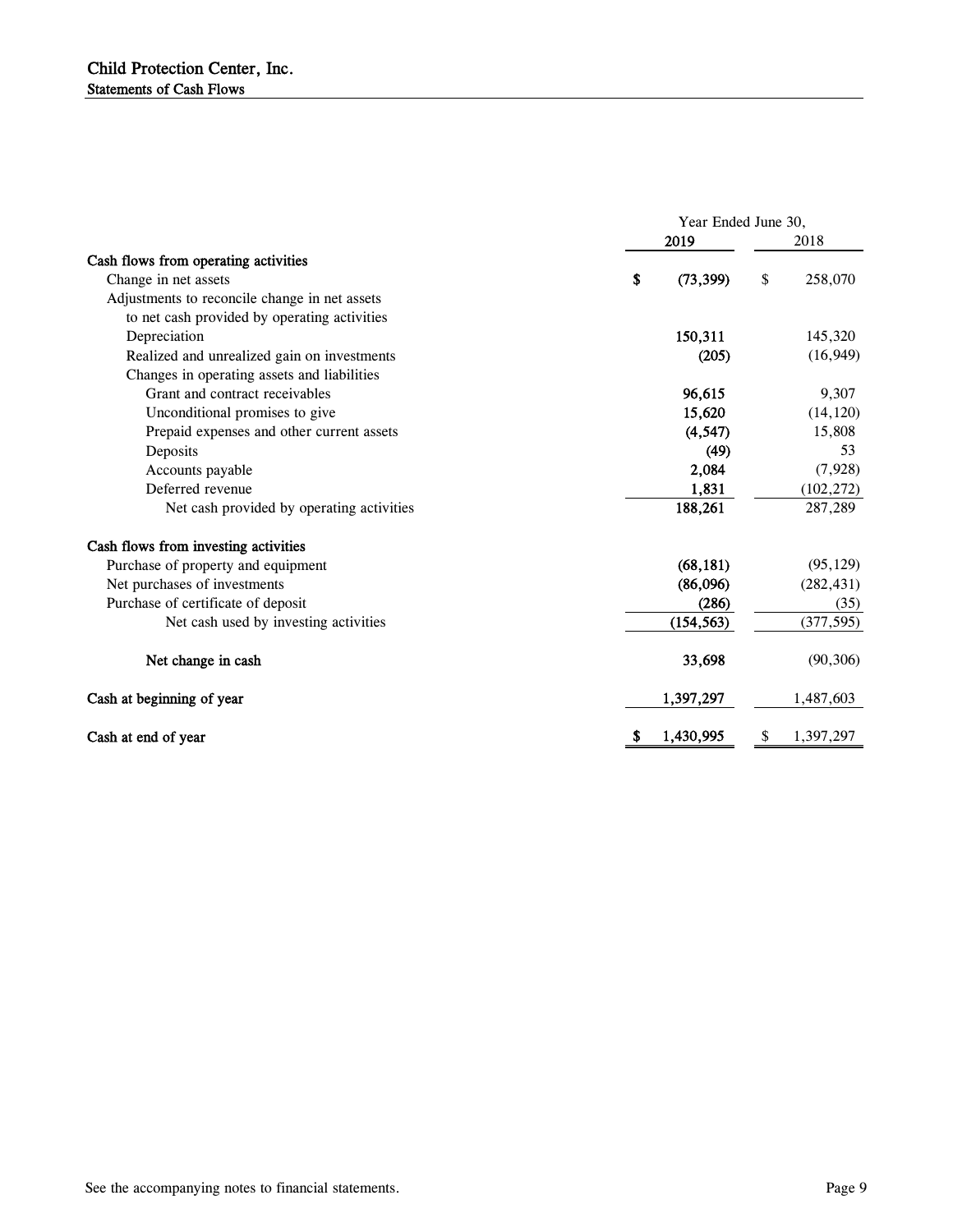|                                               | Year Ended June 30, |            |    |            |  |
|-----------------------------------------------|---------------------|------------|----|------------|--|
|                                               |                     | 2019       |    | 2018       |  |
| Cash flows from operating activities          |                     |            |    |            |  |
| Change in net assets                          | \$                  | (73, 399)  | \$ | 258,070    |  |
| Adjustments to reconcile change in net assets |                     |            |    |            |  |
| to net cash provided by operating activities  |                     |            |    |            |  |
| Depreciation                                  |                     | 150,311    |    | 145,320    |  |
| Realized and unrealized gain on investments   |                     | (205)      |    | (16, 949)  |  |
| Changes in operating assets and liabilities   |                     |            |    |            |  |
| Grant and contract receivables                |                     | 96,615     |    | 9,307      |  |
| Unconditional promises to give                |                     | 15,620     |    | (14, 120)  |  |
| Prepaid expenses and other current assets     |                     | (4, 547)   |    | 15,808     |  |
| Deposits                                      |                     | (49)       |    | 53         |  |
| Accounts payable                              |                     | 2,084      |    | (7,928)    |  |
| Deferred revenue                              |                     | 1,831      |    | (102, 272) |  |
| Net cash provided by operating activities     |                     | 188,261    |    | 287,289    |  |
| Cash flows from investing activities          |                     |            |    |            |  |
| Purchase of property and equipment            |                     | (68, 181)  |    | (95, 129)  |  |
| Net purchases of investments                  |                     | (86,096)   |    | (282, 431) |  |
| Purchase of certificate of deposit            |                     | (286)      |    | (35)       |  |
| Net cash used by investing activities         |                     | (154, 563) |    | (377, 595) |  |
| Net change in cash                            |                     | 33,698     |    | (90, 306)  |  |
| Cash at beginning of year                     |                     | 1,397,297  |    | 1,487,603  |  |
| Cash at end of year                           | \$,                 | 1,430,995  | S, | 1,397,297  |  |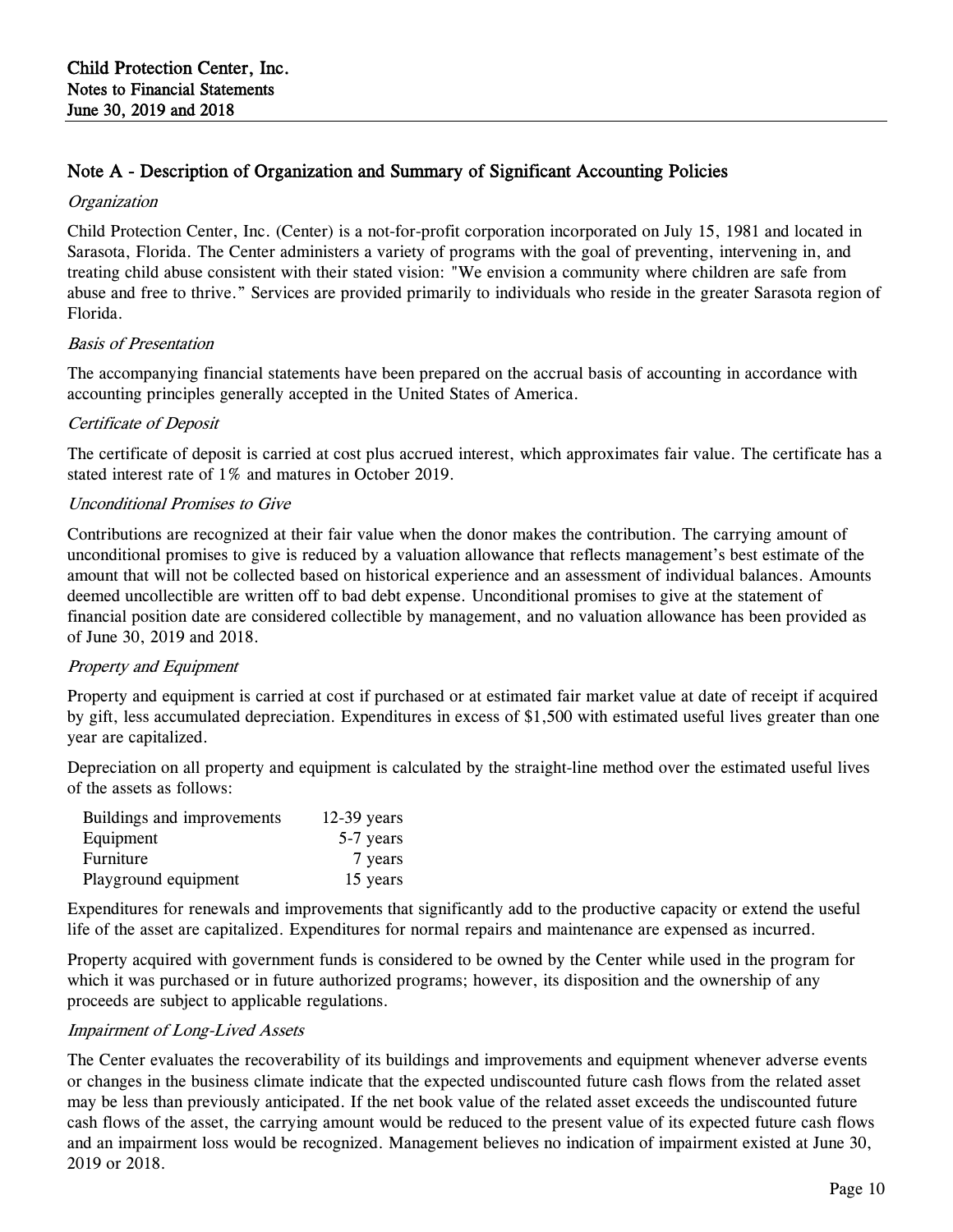## Note A - Description of Organization and Summary of Significant Accounting Policies

#### **Organization**

Child Protection Center, Inc. (Center) is a not-for-profit corporation incorporated on July 15, 1981 and located in Sarasota, Florida. The Center administers a variety of programs with the goal of preventing, intervening in, and treating child abuse consistent with their stated vision: "We envision a community where children are safe from abuse and free to thrive." Services are provided primarily to individuals who reside in the greater Sarasota region of Florida.

#### Basis of Presentation

The accompanying financial statements have been prepared on the accrual basis of accounting in accordance with accounting principles generally accepted in the United States of America.

#### Certificate of Deposit

The certificate of deposit is carried at cost plus accrued interest, which approximates fair value. The certificate has a stated interest rate of 1% and matures in October 2019.

#### Unconditional Promises to Give

Contributions are recognized at their fair value when the donor makes the contribution. The carrying amount of unconditional promises to give is reduced by a valuation allowance that reflects management's best estimate of the amount that will not be collected based on historical experience and an assessment of individual balances. Amounts deemed uncollectible are written off to bad debt expense. Unconditional promises to give at the statement of financial position date are considered collectible by management, and no valuation allowance has been provided as of June 30, 2019 and 2018.

#### Property and Equipment

Property and equipment is carried at cost if purchased or at estimated fair market value at date of receipt if acquired by gift, less accumulated depreciation. Expenditures in excess of \$1,500 with estimated useful lives greater than one year are capitalized.

Depreciation on all property and equipment is calculated by the straight-line method over the estimated useful lives of the assets as follows:

| Buildings and improvements | $12-39$ years |
|----------------------------|---------------|
| Equipment                  | 5-7 years     |
| Furniture                  | 7 years       |
| Playground equipment       | 15 years      |

Expenditures for renewals and improvements that significantly add to the productive capacity or extend the useful life of the asset are capitalized. Expenditures for normal repairs and maintenance are expensed as incurred.

Property acquired with government funds is considered to be owned by the Center while used in the program for which it was purchased or in future authorized programs; however, its disposition and the ownership of any proceeds are subject to applicable regulations.

#### Impairment of Long-Lived Assets

The Center evaluates the recoverability of its buildings and improvements and equipment whenever adverse events or changes in the business climate indicate that the expected undiscounted future cash flows from the related asset may be less than previously anticipated. If the net book value of the related asset exceeds the undiscounted future cash flows of the asset, the carrying amount would be reduced to the present value of its expected future cash flows and an impairment loss would be recognized. Management believes no indication of impairment existed at June 30, 2019 or 2018.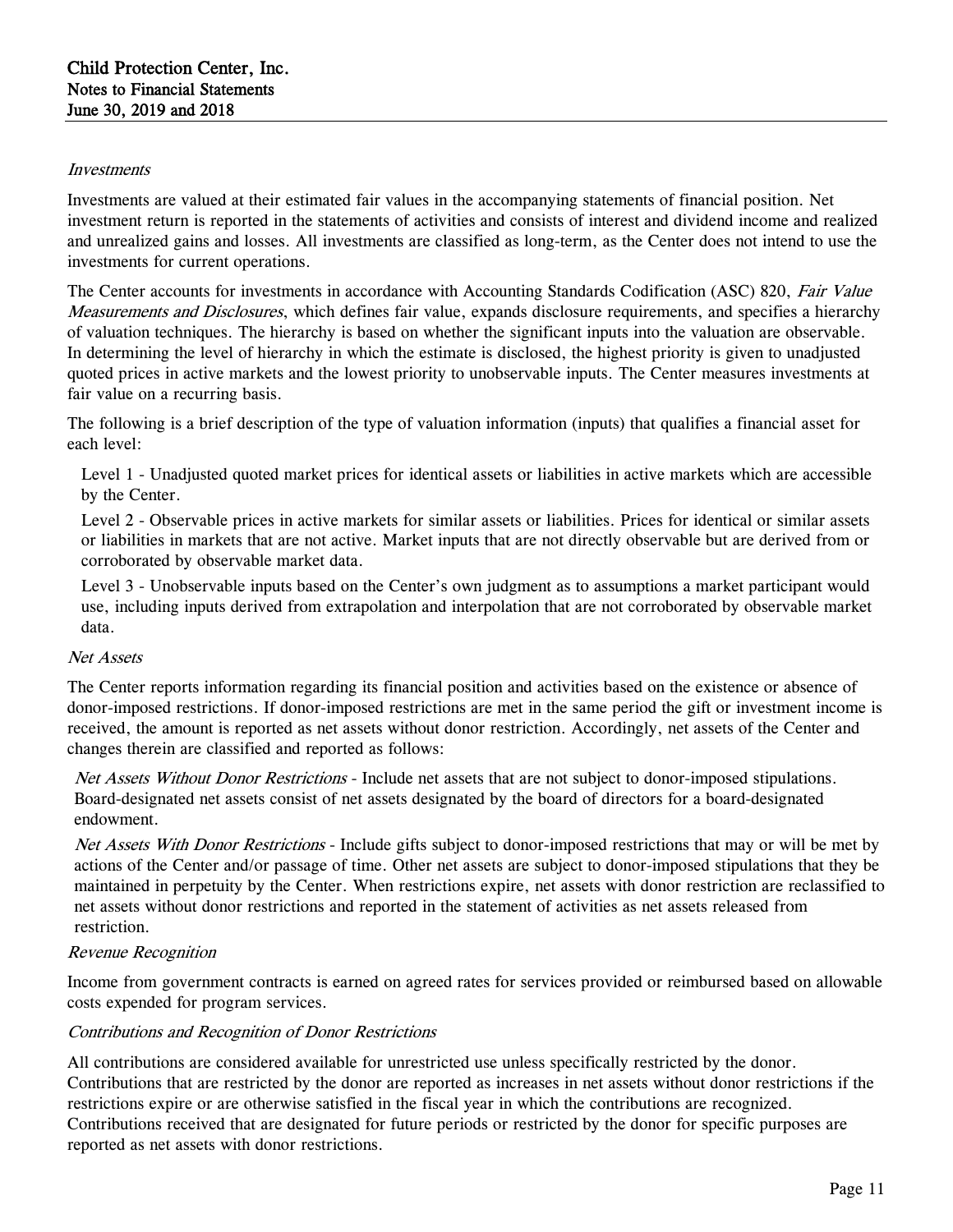#### Investments

Investments are valued at their estimated fair values in the accompanying statements of financial position. Net investment return is reported in the statements of activities and consists of interest and dividend income and realized and unrealized gains and losses. All investments are classified as long-term, as the Center does not intend to use the investments for current operations.

The Center accounts for investments in accordance with Accounting Standards Codification (ASC) 820, Fair Value Measurements and Disclosures, which defines fair value, expands disclosure requirements, and specifies a hierarchy of valuation techniques. The hierarchy is based on whether the significant inputs into the valuation are observable. In determining the level of hierarchy in which the estimate is disclosed, the highest priority is given to unadjusted quoted prices in active markets and the lowest priority to unobservable inputs. The Center measures investments at fair value on a recurring basis.

The following is a brief description of the type of valuation information (inputs) that qualifies a financial asset for each level:

Level 1 - Unadjusted quoted market prices for identical assets or liabilities in active markets which are accessible by the Center.

Level 2 - Observable prices in active markets for similar assets or liabilities. Prices for identical or similar assets or liabilities in markets that are not active. Market inputs that are not directly observable but are derived from or corroborated by observable market data.

Level 3 - Unobservable inputs based on the Center's own judgment as to assumptions a market participant would use, including inputs derived from extrapolation and interpolation that are not corroborated by observable market data.

#### Net Assets

The Center reports information regarding its financial position and activities based on the existence or absence of donor-imposed restrictions. If donor-imposed restrictions are met in the same period the gift or investment income is received, the amount is reported as net assets without donor restriction. Accordingly, net assets of the Center and changes therein are classified and reported as follows:

Net Assets Without Donor Restrictions - Include net assets that are not subject to donor-imposed stipulations. Board-designated net assets consist of net assets designated by the board of directors for a board-designated endowment.

Net Assets With Donor Restrictions - Include gifts subject to donor-imposed restrictions that may or will be met by actions of the Center and/or passage of time. Other net assets are subject to donor-imposed stipulations that they be maintained in perpetuity by the Center. When restrictions expire, net assets with donor restriction are reclassified to net assets without donor restrictions and reported in the statement of activities as net assets released from restriction.

#### Revenue Recognition

Income from government contracts is earned on agreed rates for services provided or reimbursed based on allowable costs expended for program services.

#### Contributions and Recognition of Donor Restrictions

All contributions are considered available for unrestricted use unless specifically restricted by the donor. Contributions that are restricted by the donor are reported as increases in net assets without donor restrictions if the restrictions expire or are otherwise satisfied in the fiscal year in which the contributions are recognized. Contributions received that are designated for future periods or restricted by the donor for specific purposes are reported as net assets with donor restrictions.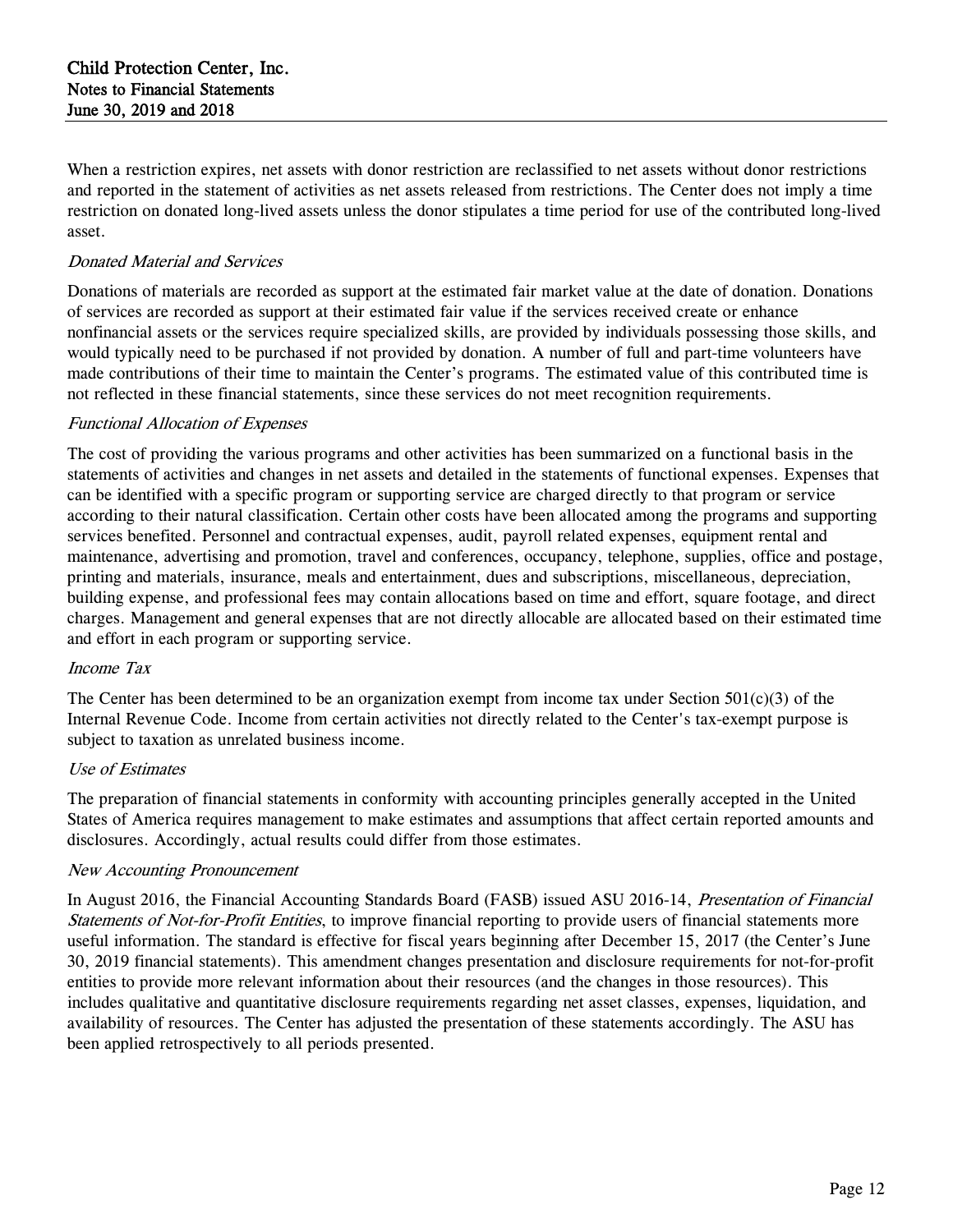When a restriction expires, net assets with donor restriction are reclassified to net assets without donor restrictions and reported in the statement of activities as net assets released from restrictions. The Center does not imply a time restriction on donated long-lived assets unless the donor stipulates a time period for use of the contributed long-lived asset.

### Donated Material and Services

Donations of materials are recorded as support at the estimated fair market value at the date of donation. Donations of services are recorded as support at their estimated fair value if the services received create or enhance nonfinancial assets or the services require specialized skills, are provided by individuals possessing those skills, and would typically need to be purchased if not provided by donation. A number of full and part-time volunteers have made contributions of their time to maintain the Center's programs. The estimated value of this contributed time is not reflected in these financial statements, since these services do not meet recognition requirements.

#### Functional Allocation of Expenses

The cost of providing the various programs and other activities has been summarized on a functional basis in the statements of activities and changes in net assets and detailed in the statements of functional expenses. Expenses that can be identified with a specific program or supporting service are charged directly to that program or service according to their natural classification. Certain other costs have been allocated among the programs and supporting services benefited. Personnel and contractual expenses, audit, payroll related expenses, equipment rental and maintenance, advertising and promotion, travel and conferences, occupancy, telephone, supplies, office and postage, printing and materials, insurance, meals and entertainment, dues and subscriptions, miscellaneous, depreciation, building expense, and professional fees may contain allocations based on time and effort, square footage, and direct charges. Management and general expenses that are not directly allocable are allocated based on their estimated time and effort in each program or supporting service.

#### Income Tax

The Center has been determined to be an organization exempt from income tax under Section  $501(c)(3)$  of the Internal Revenue Code. Income from certain activities not directly related to the Center's tax-exempt purpose is subject to taxation as unrelated business income.

#### Use of Estimates

The preparation of financial statements in conformity with accounting principles generally accepted in the United States of America requires management to make estimates and assumptions that affect certain reported amounts and disclosures. Accordingly, actual results could differ from those estimates.

#### New Accounting Pronouncement

In August 2016, the Financial Accounting Standards Board (FASB) issued ASU 2016-14, *Presentation of Financial* Statements of Not-for-Profit Entities, to improve financial reporting to provide users of financial statements more useful information. The standard is effective for fiscal years beginning after December 15, 2017 (the Center's June 30, 2019 financial statements). This amendment changes presentation and disclosure requirements for not-for-profit entities to provide more relevant information about their resources (and the changes in those resources). This includes qualitative and quantitative disclosure requirements regarding net asset classes, expenses, liquidation, and availability of resources. The Center has adjusted the presentation of these statements accordingly. The ASU has been applied retrospectively to all periods presented.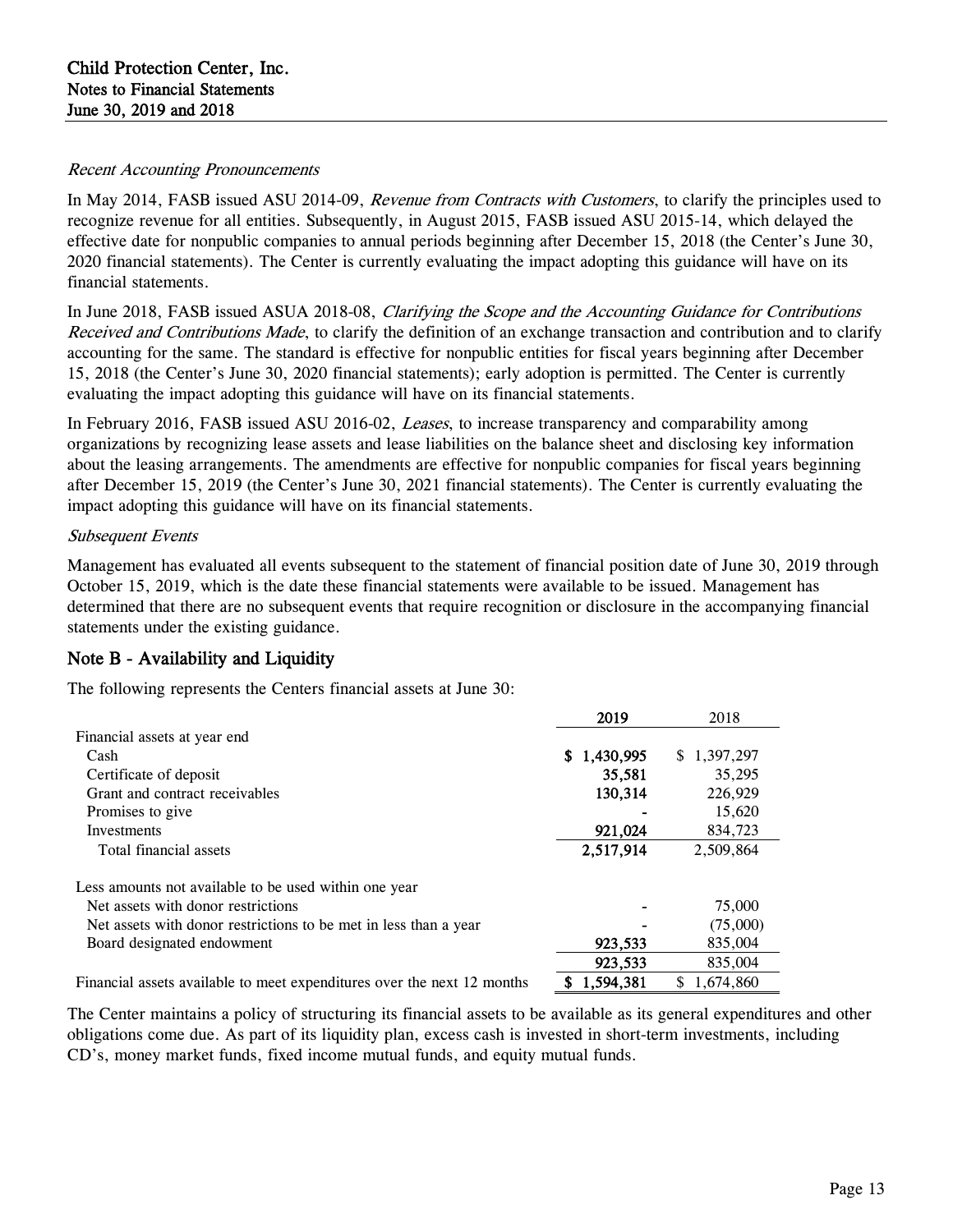#### Recent Accounting Pronouncements

In May 2014, FASB issued ASU 2014-09, *Revenue from Contracts with Customers*, to clarify the principles used to recognize revenue for all entities. Subsequently, in August 2015, FASB issued ASU 2015-14, which delayed the effective date for nonpublic companies to annual periods beginning after December 15, 2018 (the Center's June 30, 2020 financial statements). The Center is currently evaluating the impact adopting this guidance will have on its financial statements.

In June 2018, FASB issued ASUA 2018-08, Clarifying the Scope and the Accounting Guidance for Contributions Received and Contributions Made, to clarify the definition of an exchange transaction and contribution and to clarify accounting for the same. The standard is effective for nonpublic entities for fiscal years beginning after December 15, 2018 (the Center's June 30, 2020 financial statements); early adoption is permitted. The Center is currently evaluating the impact adopting this guidance will have on its financial statements.

In February 2016, FASB issued ASU 2016-02, *Leases*, to increase transparency and comparability among organizations by recognizing lease assets and lease liabilities on the balance sheet and disclosing key information about the leasing arrangements. The amendments are effective for nonpublic companies for fiscal years beginning after December 15, 2019 (the Center's June 30, 2021 financial statements). The Center is currently evaluating the impact adopting this guidance will have on its financial statements.

## Subsequent Events

Management has evaluated all events subsequent to the statement of financial position date of June 30, 2019 through October 15, 2019, which is the date these financial statements were available to be issued. Management has determined that there are no subsequent events that require recognition or disclosure in the accompanying financial statements under the existing guidance.

## Note B - Availability and Liquidity

The following represents the Centers financial assets at June 30:

|                                                                         | 2019        | 2018        |
|-------------------------------------------------------------------------|-------------|-------------|
| Financial assets at year end                                            |             |             |
| Cash                                                                    | \$1,430,995 | \$1,397,297 |
| Certificate of deposit                                                  | 35,581      | 35,295      |
| Grant and contract receivables                                          | 130,314     | 226,929     |
| Promises to give                                                        |             | 15,620      |
| Investments                                                             | 921,024     | 834,723     |
| Total financial assets                                                  | 2,517,914   | 2,509,864   |
| Less amounts not available to be used within one year                   |             |             |
| Net assets with donor restrictions                                      |             | 75,000      |
| Net assets with donor restrictions to be met in less than a year        |             | (75,000)    |
| Board designated endowment                                              | 923,533     | 835,004     |
|                                                                         | 923,533     | 835,004     |
| Financial assets available to meet expenditures over the next 12 months | 504 381     | 674 860     |

et expenditures over the next 12 months

The Center maintains a policy of structuring its financial assets to be available as its general expenditures and other obligations come due. As part of its liquidity plan, excess cash is invested in short-term investments, including CD's, money market funds, fixed income mutual funds, and equity mutual funds.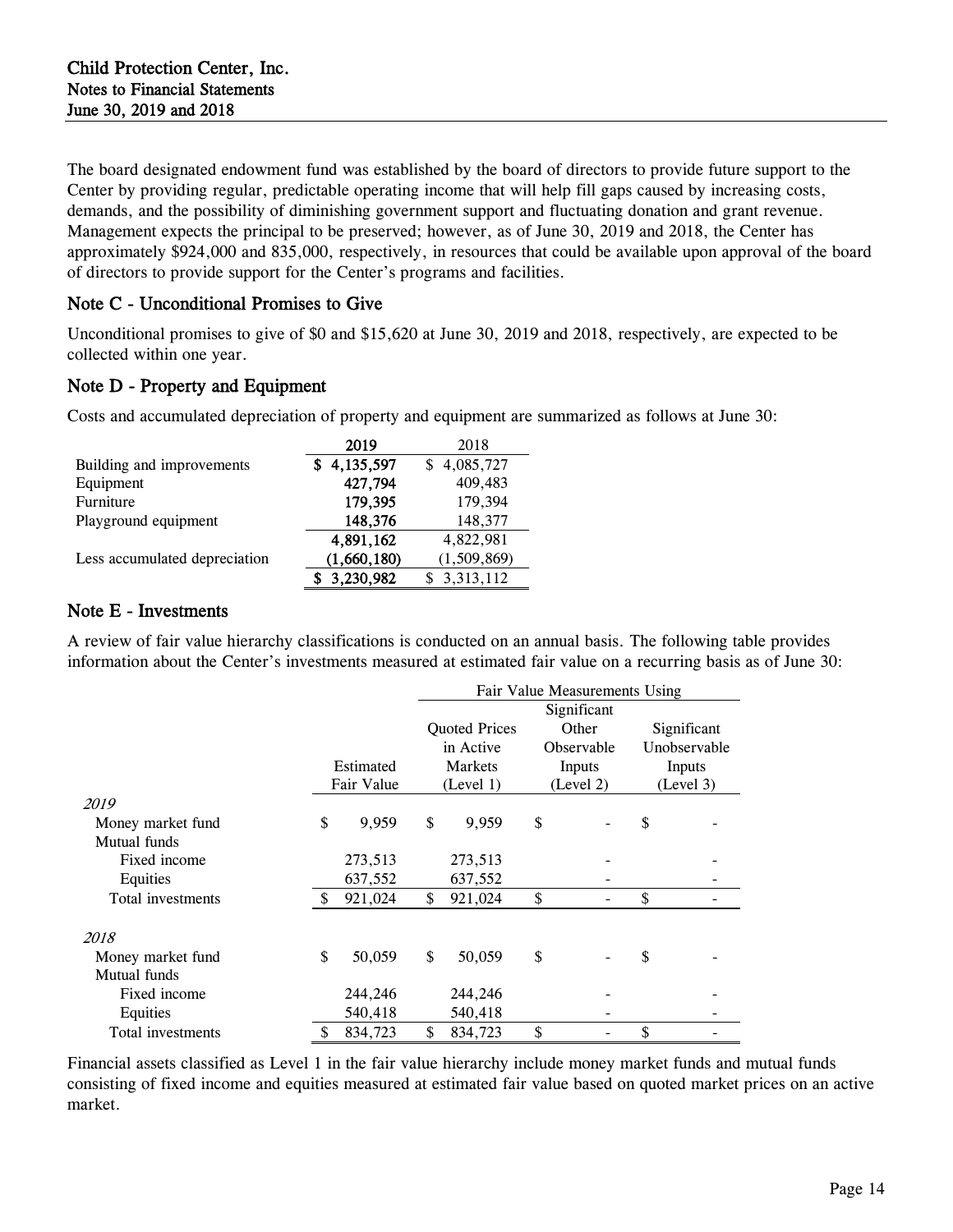The board designated endowment fund was established by the board of directors to provide future support to the Center by providing regular, predictable operating income that will help fill gaps caused by increasing costs, demands, and the possibility of diminishing government support and fluctuating donation and grant revenue. Management expects the principal to be preserved; however, as of June 30, 2019 and 2018, the Center has approximately \$924,000 and 835,000, respectively, in resources that could be available upon approval of the board of directors to provide support for the Center's programs and facilities.

## Note C - Unconditional Promises to Give

Unconditional promises to give of \$0 and \$15,620 at June 30, 2019 and 2018, respectively, are expected to be collected within one year.

## Note D - Property and Equipment

Costs and accumulated depreciation of property and equipment are summarized as follows at June 30:

|                               | 2019        | 2018        |
|-------------------------------|-------------|-------------|
| Building and improvements     | 4,135,597   | 4,085,727   |
| Equipment                     | 427,794     | 409,483     |
| Furniture                     | 179,395     | 179,394     |
| Playground equipment          | 148,376     | 148,377     |
|                               | 4,891,162   | 4,822,981   |
| Less accumulated depreciation | (1,660,180) | (1,509,869) |
|                               | 3,230,982   | 3,313,112   |

## Note E - Investments

A review of fair value hierarchy classifications is conducted on an annual basis. The following table provides information about the Center's investments measured at estimated fair value on a recurring basis as of June 30:

|                   |                                              | Fair Value Measurements Using |           |           |                   |           |              |
|-------------------|----------------------------------------------|-------------------------------|-----------|-----------|-------------------|-----------|--------------|
|                   |                                              | Significant                   |           |           |                   |           |              |
|                   | <b>Quoted Prices</b><br>Significant<br>Other |                               |           |           |                   |           |              |
|                   |                                              |                               | in Active |           | <b>Observable</b> |           | Unobservable |
|                   | Estimated                                    |                               | Markets   |           | Inputs            |           | Inputs       |
|                   | Fair Value                                   |                               | (Level 1) | (Level 2) |                   | (Level 3) |              |
| 2019              |                                              |                               |           |           |                   |           |              |
| Money market fund | \$<br>9,959                                  | \$                            | 9,959     | \$        |                   | \$        |              |
| Mutual funds      |                                              |                               |           |           |                   |           |              |
| Fixed income      | 273,513                                      |                               | 273,513   |           |                   |           |              |
| Equities          | 637,552                                      |                               | 637,552   |           |                   |           |              |
| Total investments | \$<br>921,024                                | \$                            | 921,024   | \$        |                   | \$        |              |
| 2018              |                                              |                               |           |           |                   |           |              |
| Money market fund | \$<br>50,059                                 | \$                            | 50,059    | \$        |                   | \$        |              |
| Mutual funds      |                                              |                               |           |           |                   |           |              |
| Fixed income      | 244,246                                      |                               | 244,246   |           |                   |           |              |
| Equities          | 540,418                                      |                               | 540,418   |           |                   |           |              |
| Total investments | \$<br>834,723                                | \$                            | 834,723   | \$        |                   | \$        |              |

Financial assets classified as Level 1 in the fair value hierarchy include money market funds and mutual funds consisting of fixed income and equities measured at estimated fair value based on quoted market prices on an active market.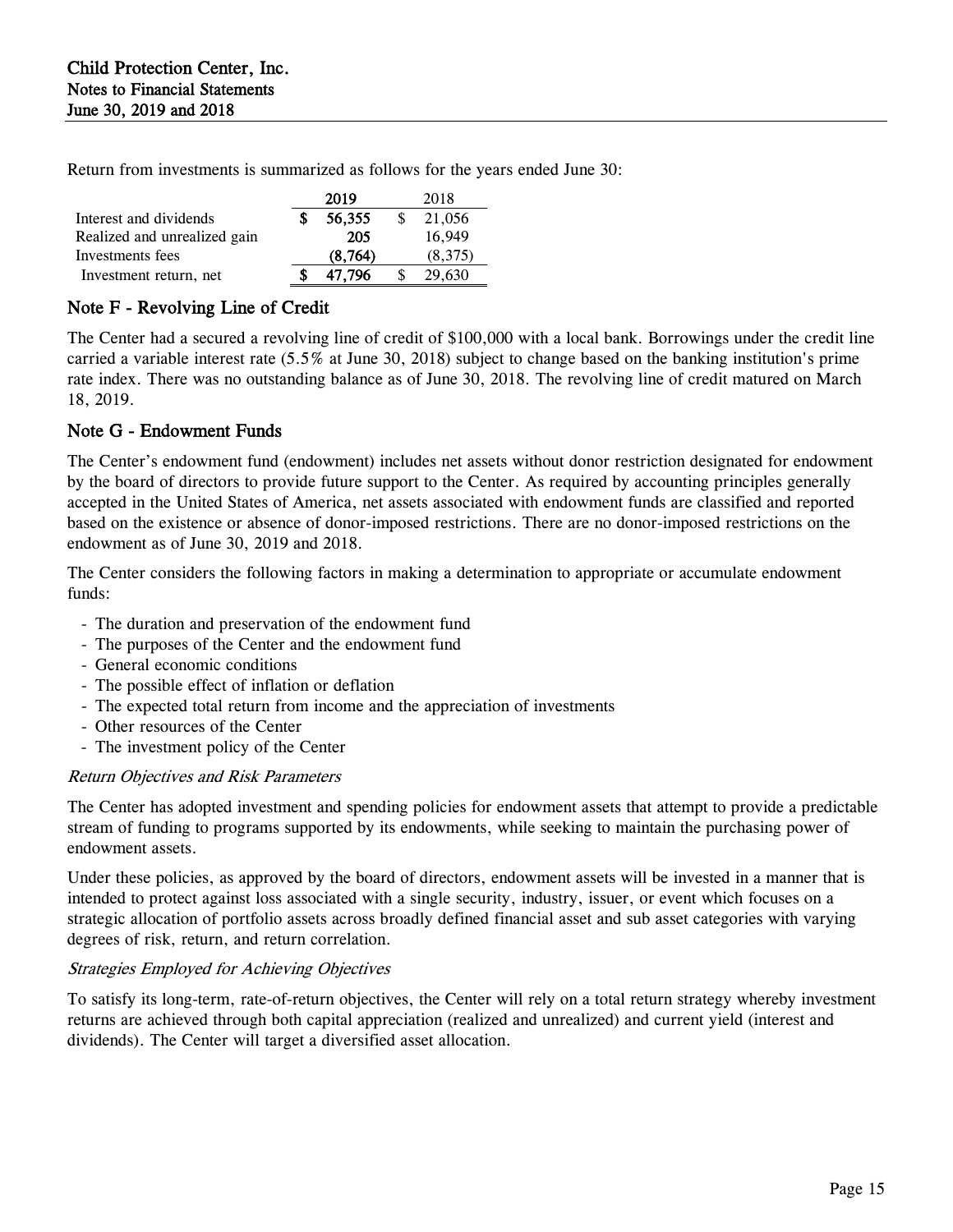Return from investments is summarized as follows for the years ended June 30:

|                              | 2019     | 2018    |
|------------------------------|----------|---------|
| Interest and dividends       | 56,355   | 21,056  |
| Realized and unrealized gain | 205      | 16.949  |
| Investments fees             | (8, 764) | (8,375) |
| Investment return, net       | 47.796   | 29,630  |
|                              |          |         |

## Note F - Revolving Line of Credit

The Center had a secured a revolving line of credit of \$100,000 with a local bank. Borrowings under the credit line carried a variable interest rate (5.5% at June 30, 2018) subject to change based on the banking institution's prime rate index. There was no outstanding balance as of June 30, 2018. The revolving line of credit matured on March 18, 2019.

## Note G - Endowment Funds

The Center's endowment fund (endowment) includes net assets without donor restriction designated for endowment by the board of directors to provide future support to the Center. As required by accounting principles generally accepted in the United States of America, net assets associated with endowment funds are classified and reported based on the existence or absence of donor-imposed restrictions. There are no donor-imposed restrictions on the endowment as of June 30, 2019 and 2018.

The Center considers the following factors in making a determination to appropriate or accumulate endowment funds:

- The duration and preservation of the endowment fund
- The purposes of the Center and the endowment fund
- General economic conditions
- The possible effect of inflation or deflation
- The expected total return from income and the appreciation of investments
- Other resources of the Center
- The investment policy of the Center

## Return Objectives and Risk Parameters

The Center has adopted investment and spending policies for endowment assets that attempt to provide a predictable stream of funding to programs supported by its endowments, while seeking to maintain the purchasing power of endowment assets.

Under these policies, as approved by the board of directors, endowment assets will be invested in a manner that is intended to protect against loss associated with a single security, industry, issuer, or event which focuses on a strategic allocation of portfolio assets across broadly defined financial asset and sub asset categories with varying degrees of risk, return, and return correlation.

## Strategies Employed for Achieving Objectives

To satisfy its long-term, rate-of-return objectives, the Center will rely on a total return strategy whereby investment returns are achieved through both capital appreciation (realized and unrealized) and current yield (interest and dividends). The Center will target a diversified asset allocation.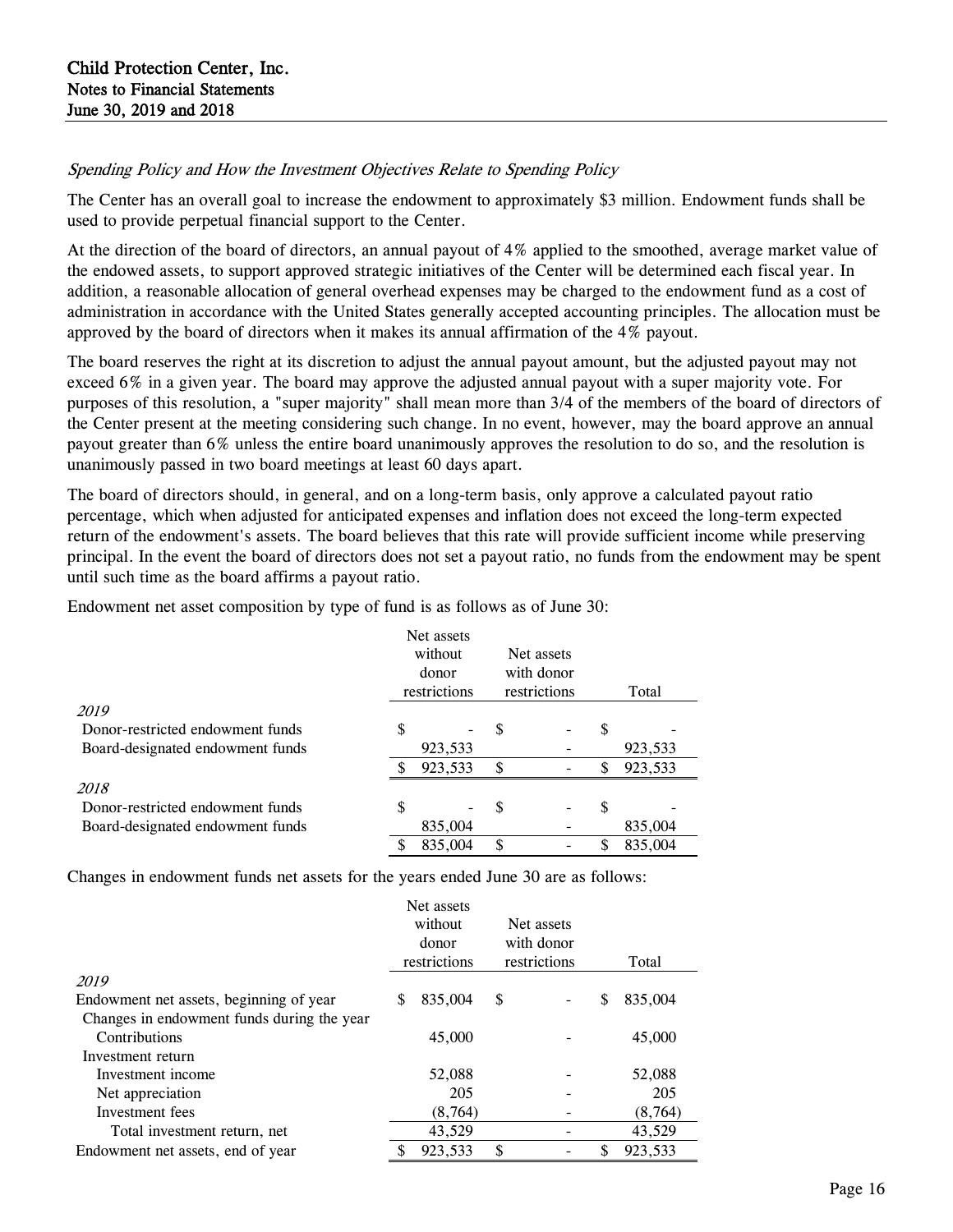## Spending Policy and How the Investment Objectives Relate to Spending Policy

The Center has an overall goal to increase the endowment to approximately \$3 million. Endowment funds shall be used to provide perpetual financial support to the Center.

At the direction of the board of directors, an annual payout of 4% applied to the smoothed, average market value of the endowed assets, to support approved strategic initiatives of the Center will be determined each fiscal year. In addition, a reasonable allocation of general overhead expenses may be charged to the endowment fund as a cost of administration in accordance with the United States generally accepted accounting principles. The allocation must be approved by the board of directors when it makes its annual affirmation of the 4% payout.

The board reserves the right at its discretion to adjust the annual payout amount, but the adjusted payout may not exceed 6% in a given year. The board may approve the adjusted annual payout with a super majority vote. For purposes of this resolution, a "super majority" shall mean more than 3/4 of the members of the board of directors of the Center present at the meeting considering such change. In no event, however, may the board approve an annual payout greater than 6% unless the entire board unanimously approves the resolution to do so, and the resolution is unanimously passed in two board meetings at least 60 days apart.

The board of directors should, in general, and on a long-term basis, only approve a calculated payout ratio percentage, which when adjusted for anticipated expenses and inflation does not exceed the long-term expected return of the endowment's assets. The board believes that this rate will provide sufficient income while preserving principal. In the event the board of directors does not set a payout ratio, no funds from the endowment may be spent until such time as the board affirms a payout ratio.

Endowment net asset composition by type of fund is as follows as of June 30:

|                                  | Net assets<br>without<br>donor<br>restrictions |         | Net assets<br>with donor<br>restrictions |  | Total |         |  |
|----------------------------------|------------------------------------------------|---------|------------------------------------------|--|-------|---------|--|
| 2019                             |                                                |         |                                          |  |       |         |  |
| Donor-restricted endowment funds | S                                              |         | \$                                       |  | \$    |         |  |
| Board-designated endowment funds |                                                | 923,533 |                                          |  |       | 923,533 |  |
|                                  |                                                | 923,533 | \$                                       |  | \$    | 923,533 |  |
| 2018                             |                                                |         |                                          |  |       |         |  |
| Donor-restricted endowment funds | \$                                             |         | \$                                       |  | \$    |         |  |
| Board-designated endowment funds |                                                | 835,004 |                                          |  |       | 835,004 |  |
|                                  |                                                | 835,004 | \$                                       |  | S     | 835,004 |  |

Changes in endowment funds net assets for the years ended June 30 are as follows:

|                                            | Net assets<br>without<br>donor<br>restrictions |         | Net assets<br>with donor<br>restrictions |  | Total |          |  |
|--------------------------------------------|------------------------------------------------|---------|------------------------------------------|--|-------|----------|--|
| 2019                                       |                                                |         |                                          |  |       |          |  |
| Endowment net assets, beginning of year    | S                                              | 835,004 | \$                                       |  | S     | 835,004  |  |
| Changes in endowment funds during the year |                                                |         |                                          |  |       |          |  |
| Contributions                              |                                                | 45,000  |                                          |  |       | 45,000   |  |
| Investment return                          |                                                |         |                                          |  |       |          |  |
| Investment income                          |                                                | 52,088  |                                          |  |       | 52,088   |  |
| Net appreciation                           |                                                | 205     |                                          |  |       | 205      |  |
| Investment fees                            |                                                | (8,764) |                                          |  |       | (8, 764) |  |
| Total investment return, net               |                                                | 43,529  |                                          |  |       | 43,529   |  |
| Endowment net assets, end of year          |                                                | 923,533 | \$                                       |  |       | 923,533  |  |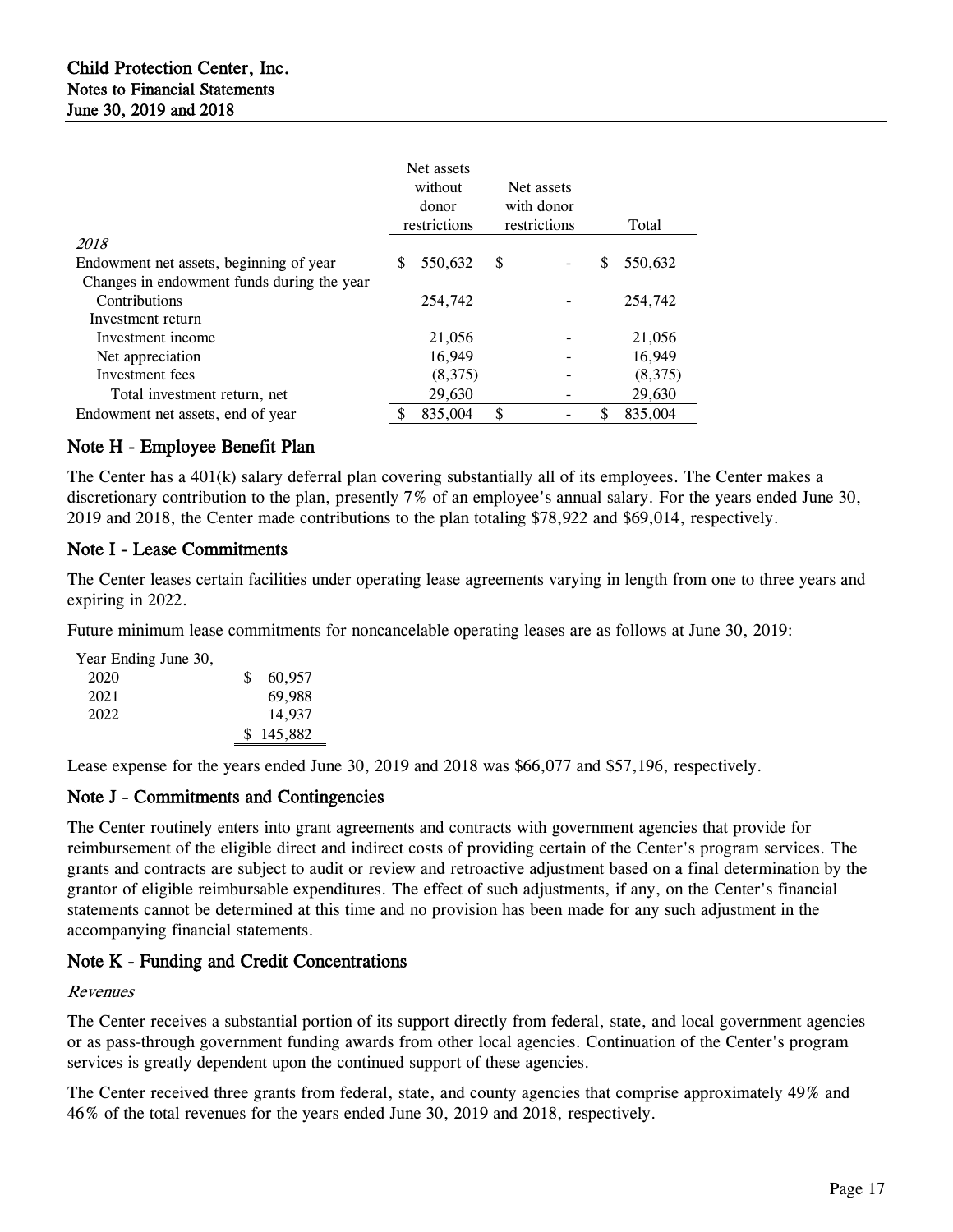|                                            | Net assets<br>without<br>donor<br>restrictions |         | Net assets<br>with donor<br>restrictions |  | Total |         |  |
|--------------------------------------------|------------------------------------------------|---------|------------------------------------------|--|-------|---------|--|
| 2018                                       |                                                |         |                                          |  |       |         |  |
| Endowment net assets, beginning of year    |                                                | 550,632 | \$                                       |  | \$    | 550,632 |  |
| Changes in endowment funds during the year |                                                |         |                                          |  |       |         |  |
| Contributions                              |                                                | 254,742 |                                          |  |       | 254,742 |  |
| Investment return                          |                                                |         |                                          |  |       |         |  |
| Investment income                          |                                                | 21,056  |                                          |  |       | 21,056  |  |
| Net appreciation                           |                                                | 16.949  |                                          |  |       | 16,949  |  |
| Investment fees                            |                                                | (8,375) |                                          |  |       | (8,375) |  |
| Total investment return, net               |                                                | 29,630  |                                          |  |       | 29,630  |  |
| Endowment net assets, end of year          |                                                | 835,004 | \$                                       |  |       | 835,004 |  |

## Note H - Employee Benefit Plan

The Center has a 401(k) salary deferral plan covering substantially all of its employees. The Center makes a discretionary contribution to the plan, presently 7% of an employee's annual salary. For the years ended June 30, 2019 and 2018, the Center made contributions to the plan totaling \$78,922 and \$69,014, respectively.

## Note I - Lease Commitments

The Center leases certain facilities under operating lease agreements varying in length from one to three years and expiring in 2022.

Future minimum lease commitments for noncancelable operating leases are as follows at June 30, 2019:

| Year Ending June 30, |    |           |
|----------------------|----|-----------|
| 2020                 | £. | 60.957    |
| 2021                 |    | 69.988    |
| 2022                 |    | 14,937    |
|                      |    | \$145,882 |
|                      |    |           |

Lease expense for the years ended June 30, 2019 and 2018 was \$66,077 and \$57,196, respectively.

## Note J - Commitments and Contingencies

The Center routinely enters into grant agreements and contracts with government agencies that provide for reimbursement of the eligible direct and indirect costs of providing certain of the Center's program services. The grants and contracts are subject to audit or review and retroactive adjustment based on a final determination by the grantor of eligible reimbursable expenditures. The effect of such adjustments, if any, on the Center's financial statements cannot be determined at this time and no provision has been made for any such adjustment in the accompanying financial statements.

## Note K - Funding and Credit Concentrations

#### Revenues

The Center receives a substantial portion of its support directly from federal, state, and local government agencies or as pass-through government funding awards from other local agencies. Continuation of the Center's program services is greatly dependent upon the continued support of these agencies.

The Center received three grants from federal, state, and county agencies that comprise approximately 49% and 46% of the total revenues for the years ended June 30, 2019 and 2018, respectively.